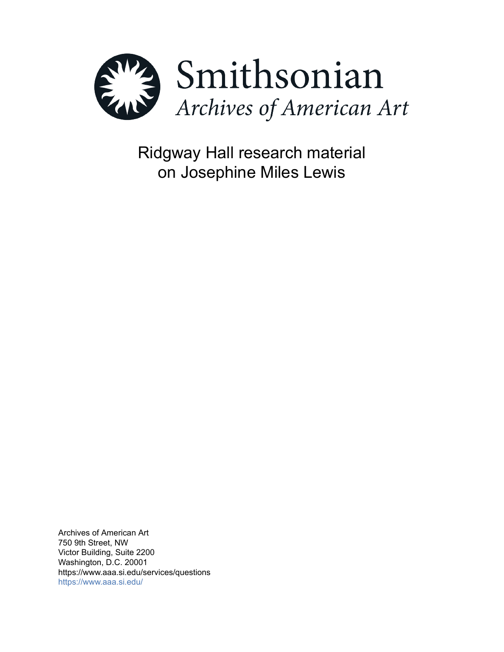

Ridgway Hall research material on Josephine Miles Lewis

Archives of American Art 750 9th Street, NW Victor Building, Suite 2200 Washington, D.C. 20001 https://www.aaa.si.edu/services/questions <https://www.aaa.si.edu/>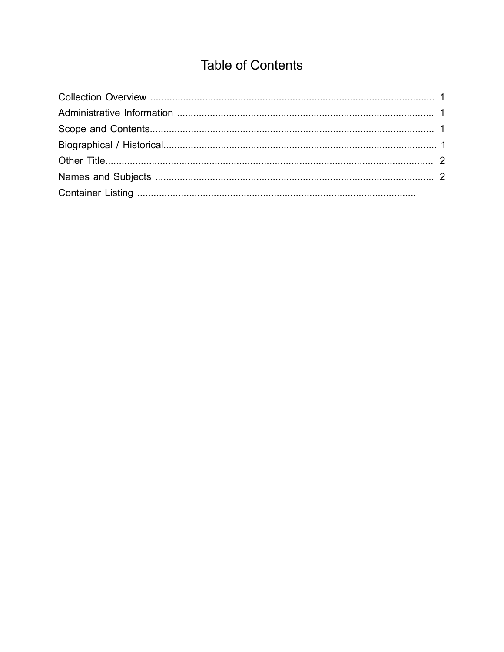# **Table of Contents**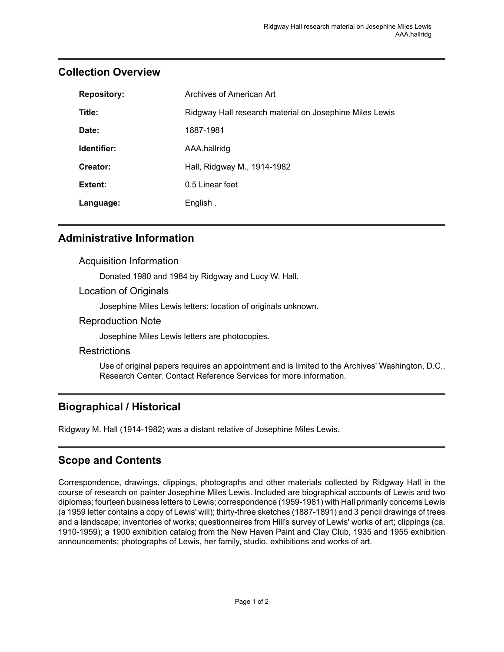| <b>Repository:</b> | Archives of American Art                                |
|--------------------|---------------------------------------------------------|
| Title:             | Ridgway Hall research material on Josephine Miles Lewis |
| Date:              | 1887-1981                                               |
| Identifier:        | AAA.hallridg                                            |
| Creator:           | Hall, Ridgway M., 1914-1982                             |
| Extent:            | 0.5 Linear feet                                         |
| Language:          | English.                                                |

## <span id="page-2-0"></span>**Collection Overview**

## <span id="page-2-1"></span>**Administrative Information**

## Acquisition Information

Donated 1980 and 1984 by Ridgway and Lucy W. Hall.

### Location of Originals

Josephine Miles Lewis letters: location of originals unknown.

### Reproduction Note

Josephine Miles Lewis letters are photocopies.

#### **Restrictions**

Use of original papers requires an appointment and is limited to the Archives' Washington, D.C., Research Center. Contact Reference Services for more information.

## <span id="page-2-3"></span>**Biographical / Historical**

Ridgway M. Hall (1914-1982) was a distant relative of Josephine Miles Lewis.

## <span id="page-2-2"></span>**Scope and Contents**

Correspondence, drawings, clippings, photographs and other materials collected by Ridgway Hall in the course of research on painter Josephine Miles Lewis. Included are biographical accounts of Lewis and two diplomas; fourteen business letters to Lewis; correspondence (1959-1981) with Hall primarily concerns Lewis (a 1959 letter contains a copy of Lewis' will); thirty-three sketches (1887-1891) and 3 pencil drawings of trees and a landscape; inventories of works; questionnaires from Hill's survey of Lewis' works of art; clippings (ca. 1910-1959); a 1900 exhibition catalog from the New Haven Paint and Clay Club, 1935 and 1955 exhibition announcements; photographs of Lewis, her family, studio, exhibitions and works of art.